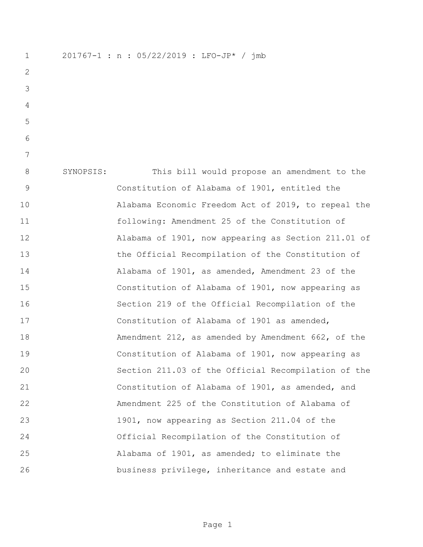201767-1 : n : 05/22/2019 : LFO-JP\* / jmb SYNOPSIS: This bill would propose an amendment to the Constitution of Alabama of 1901, entitled the Alabama Economic Freedom Act of 2019, to repeal the following: Amendment 25 of the Constitution of Alabama of 1901, now appearing as Section 211.01 of the Official Recompilation of the Constitution of Alabama of 1901, as amended, Amendment 23 of the Constitution of Alabama of 1901, now appearing as Section 219 of the Official Recompilation of the Constitution of Alabama of 1901 as amended, Amendment 212, as amended by Amendment 662, of the Constitution of Alabama of 1901, now appearing as Section 211.03 of the Official Recompilation of the Constitution of Alabama of 1901, as amended, and Amendment 225 of the Constitution of Alabama of 1901, now appearing as Section 211.04 of the Official Recompilation of the Constitution of Alabama of 1901, as amended; to eliminate the business privilege, inheritance and estate and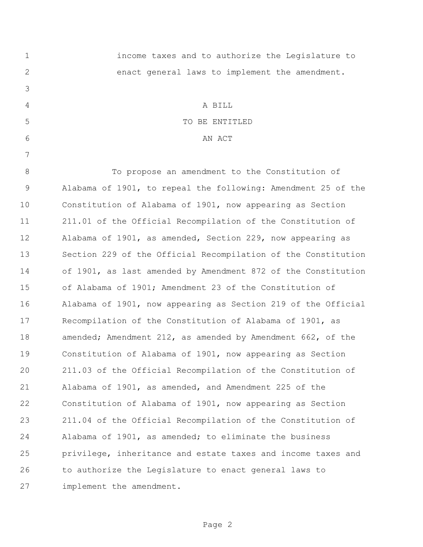| $\mathbf 1$ | income taxes and to authorize the Legislature to              |
|-------------|---------------------------------------------------------------|
| 2           | enact general laws to implement the amendment.                |
| 3           |                                                               |
| 4           | A BILL                                                        |
| 5           | TO BE ENTITLED                                                |
| 6           | AN ACT                                                        |
| 7           |                                                               |
| $8\,$       | To propose an amendment to the Constitution of                |
| 9           | Alabama of 1901, to repeal the following: Amendment 25 of the |
| 10          | Constitution of Alabama of 1901, now appearing as Section     |
| 11          | 211.01 of the Official Recompilation of the Constitution of   |
| 12          | Alabama of 1901, as amended, Section 229, now appearing as    |
| 13          | Section 229 of the Official Recompilation of the Constitution |
| 14          | of 1901, as last amended by Amendment 872 of the Constitution |
| 15          | of Alabama of 1901; Amendment 23 of the Constitution of       |
| 16          | Alabama of 1901, now appearing as Section 219 of the Official |
| 17          | Recompilation of the Constitution of Alabama of 1901, as      |
| 18          | amended; Amendment 212, as amended by Amendment 662, of the   |
| 19          | Constitution of Alabama of 1901, now appearing as Section     |
| 20          | 211.03 of the Official Recompilation of the Constitution of   |
| 21          | Alabama of 1901, as amended, and Amendment 225 of the         |
| 22          | Constitution of Alabama of 1901, now appearing as Section     |
| 23          | 211.04 of the Official Recompilation of the Constitution of   |
| 24          | Alabama of 1901, as amended; to eliminate the business        |
| 25          | privilege, inheritance and estate taxes and income taxes and  |
| 26          | to authorize the Legislature to enact general laws to         |
| 27          | implement the amendment.                                      |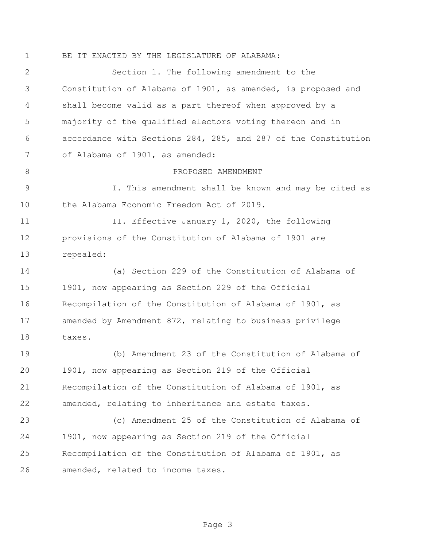BE IT ENACTED BY THE LEGISLATURE OF ALABAMA:

 Section 1. The following amendment to the Constitution of Alabama of 1901, as amended, is proposed and shall become valid as a part thereof when approved by a majority of the qualified electors voting thereon and in accordance with Sections 284, 285, and 287 of the Constitution of Alabama of 1901, as amended: 8 PROPOSED AMENDMENT I. This amendment shall be known and may be cited as the Alabama Economic Freedom Act of 2019. 11 II. Effective January 1, 2020, the following provisions of the Constitution of Alabama of 1901 are repealed: (a) Section 229 of the Constitution of Alabama of 1901, now appearing as Section 229 of the Official Recompilation of the Constitution of Alabama of 1901, as amended by Amendment 872, relating to business privilege taxes. (b) Amendment 23 of the Constitution of Alabama of 1901, now appearing as Section 219 of the Official Recompilation of the Constitution of Alabama of 1901, as amended, relating to inheritance and estate taxes. (c) Amendment 25 of the Constitution of Alabama of 1901, now appearing as Section 219 of the Official Recompilation of the Constitution of Alabama of 1901, as amended, related to income taxes.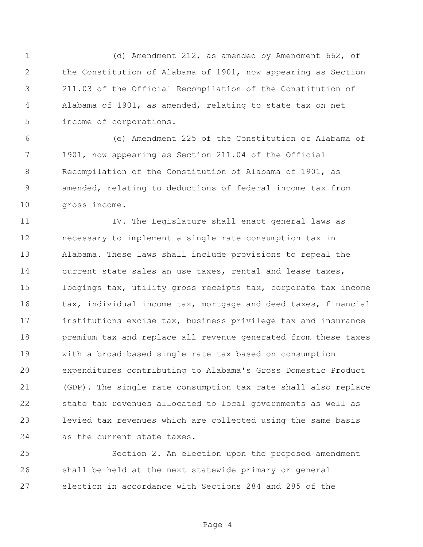(d) Amendment 212, as amended by Amendment 662, of the Constitution of Alabama of 1901, now appearing as Section 211.03 of the Official Recompilation of the Constitution of Alabama of 1901, as amended, relating to state tax on net income of corporations.

 (e) Amendment 225 of the Constitution of Alabama of 1901, now appearing as Section 211.04 of the Official Recompilation of the Constitution of Alabama of 1901, as amended, relating to deductions of federal income tax from gross income.

11 IV. The Legislature shall enact general laws as necessary to implement a single rate consumption tax in Alabama. These laws shall include provisions to repeal the current state sales an use taxes, rental and lease taxes, lodgings tax, utility gross receipts tax, corporate tax income 16 tax, individual income tax, mortgage and deed taxes, financial institutions excise tax, business privilege tax and insurance premium tax and replace all revenue generated from these taxes with a broad-based single rate tax based on consumption expenditures contributing to Alabama's Gross Domestic Product (GDP). The single rate consumption tax rate shall also replace state tax revenues allocated to local governments as well as levied tax revenues which are collected using the same basis as the current state taxes.

 Section 2. An election upon the proposed amendment shall be held at the next statewide primary or general election in accordance with Sections 284 and 285 of the

Page 4